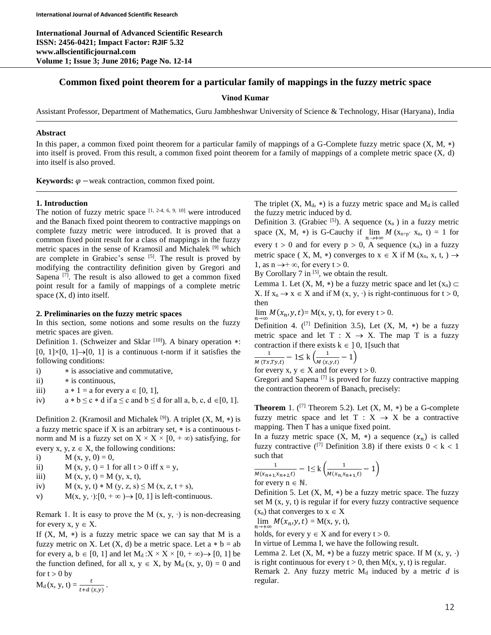**International Journal of Advanced Scientific Research ISSN: 2456-0421; Impact Factor: RJIF 5.32 www.allscientificjournal.com Volume 1; Issue 3; June 2016; Page No. 12-14**

# **Common fixed point theorem for a particular family of mappings in the fuzzy metric space**

### **Vinod Kumar**

Assistant Professor, Department of Mathematics, Guru Jambheshwar University of Science & Technology, Hisar (Haryana), India

## **Abstract**

In this paper, a common fixed point theorem for a particular family of mappings of a G-Complete fuzzy metric space  $(X, M, *)$ into itself is proved. From this result, a common fixed point theorem for a family of mappings of a complete metric space (X, d) into itself is also proved.

**Keywords:**  $\varphi$  –weak contraction, common fixed point.

### **1. Introduction**

The notion of fuzzy metric space  $[1, 2-4, 6, 9, 10]$  were introduced and the Banach fixed point theorem to contractive mappings on complete fuzzy metric were introduced. It is proved that a common fixed point result for a class of mappings in the fuzzy metric spaces in the sense of Kramosil and Michalek [9] which are complete in Grabiec's sense [5]. The result is proved by modifying the contractility definition given by Gregori and Sapena  $^{[7]}$ . The result is also allowed to get a common fixed point result for a family of mappings of a complete metric space  $(X, d)$  into itself.

### **2. Preliminaries on the fuzzy metric spaces**

In this section, some notions and some results on the fuzzy metric spaces are given.

Definition 1. (Schweizer and Sklar  $[10]$ ). A binary operation  $*$ :  $[0, 1] \times [0, 1] \rightarrow [0, 1]$  is a continuous t-norm if it satisfies the following conditions:

- i)  $\ast$  is associative and commutative,
- ii)  $\ast$  is continuous,
- iii)  $a * 1 = a$  for every  $a \in [0, 1]$ ,
- iv)  $a * b \leq c * d$  if  $a \leq c$  and  $b \leq d$  for all  $a, b, c, d \in [0, 1]$ .

Definition 2. (Kramosil and Michalek  $[9]$ ). A triplet (X, M,  $*)$  is a fuzzy metric space if  $X$  is an arbitrary set,  $*$  is a continuous tnorm and M is a fuzzy set on  $X \times X \times [0, +\infty)$  satisfying, for

every x, y,  $z \in X$ , the following conditions:

- i)  $M (x, y, 0) = 0$ ,
- ii)  $M(x, y, t) = 1$  for all  $t > 0$  iff  $x = y$ ,

iii)  $M (x, y, t) = M (y, x, t),$ 

iv) 
$$
M(x, y, t) * M(y, z, s) \le M(x, z, t + s)
$$

v) M(x, y, ·): $[0, +\infty) \rightarrow [0, 1]$  is left-continuous.

Remark 1. It is easy to prove the M  $(x, y, \cdot)$  is non-decreasing for every  $x, y \in X$ .

If  $(X, M, *)$  is a fuzzy metric space we can say that M is a fuzzy metric on X. Let  $(X, d)$  be a metric space. Let  $a * b = ab$ for every a,  $b \in [0, 1]$  and let  $M_d : X \times X \times [0, +\infty) \rightarrow [0, 1]$  be the function defined, for all x,  $y \in X$ , by  $M_d(x, y, 0) = 0$  and for  $t > 0$  by

 $M_d(x, y, t) = \frac{t}{t + d(x, y)}$ .

The triplet  $(X, M_d, *)$  is a fuzzy metric space and  $M_d$  is called the fuzzy metric induced by d.

Definition 3. (Grabiec  $[5]$ ). A sequence  $(x_n)$  in a fuzzy metric space  $(X, M, *)$  is G-Cauchy if  $\lim_{n \to +\infty} M(x_{n+p}, x_n, t) = 1$  for every  $t > 0$  and for every  $p > 0$ , A sequence  $(x_n)$  in a fuzzy metric space ( X, M, \*) converges to  $x \in X$  if M (x<sub>n</sub>, x, t, )  $\rightarrow$ 1, as  $n \rightarrow +\infty$ , for every  $t > 0$ .

By Corollary 7 in <sup>[5]</sup>, we obtain the result.

Lemma 1. Let  $(X, M, *)$  be a fuzzy metric space and let  $(x_n) \subset$ X. If  $x_n \to x \in X$  and if M  $(x, y, \cdot)$  is right-continuous for  $t > 0$ , then

 $\lim_{n\to\infty} M(x_n, y, t) = M(x, y, t)$ , for every  $t > 0$ .

Definition 4.  $(17)$  Definition 3.5), Let  $(X, M, *)$  be a fuzzy metric space and let  $T : X \rightarrow X$ . The map T is a fuzzy contraction if there exists  $k \in ]0, 1]$  such that

$$
\frac{1}{M(Tx, Ty,t)} - 1 \le k \left( \frac{1}{M(x,y,t)} - 1 \right)
$$

for every  $x, y \in X$  and for every  $t > 0$ .

Gregori and Sapena  $[7]$  is proved for fuzzy contractive mapping the contraction theorem of Banach, precisely:

**Theorem** 1.  $({}^{[7]}$  Theorem 5.2). Let  $(X, M, *)$  be a G-complete fuzzy metric space and let  $T : X \rightarrow X$  be a contractive mapping. Then T has a unique fixed point.

In a fuzzy metric space  $(X, M, *)$  a sequence  $(x_n)$  is called fuzzy contractive  $(1)$ <sup>[7]</sup> Definition 3.8) if there exists  $0 < k < 1$ such that

$$
\frac{1}{M(x_{n+1}, x_{n+2}, t)} - 1 \le k \left( \frac{1}{M(x_{n}, x_{n+1}, t)} - 1 \right)
$$
for every  $n \in \mathbb{N}$ 

for every  $n \in \mathbb{N}$ .

Definition 5. Let  $(X, M, *)$  be a fuzzy metric space. The fuzzy set M (x, y, t) is regular if for every fuzzy contractive sequence  $(x_n)$  that converges to  $x \in X$ 

$$
\lim_{n\to+\infty} M(x_n, y, t) = M(x, y, t),
$$

holds, for every  $y \in X$  and for every  $t > 0$ .

In virtue of Lemma I, we have the following result.

Lemma 2. Let  $(X, M, *)$  be a fuzzy metric space. If M  $(x, y, \cdot)$ is right continuous for every  $t > 0$ , then  $M(x, y, t)$  is regular.

Remark 2. Any fuzzy metric  $M_d$  induced by a metric  $d$  is regular.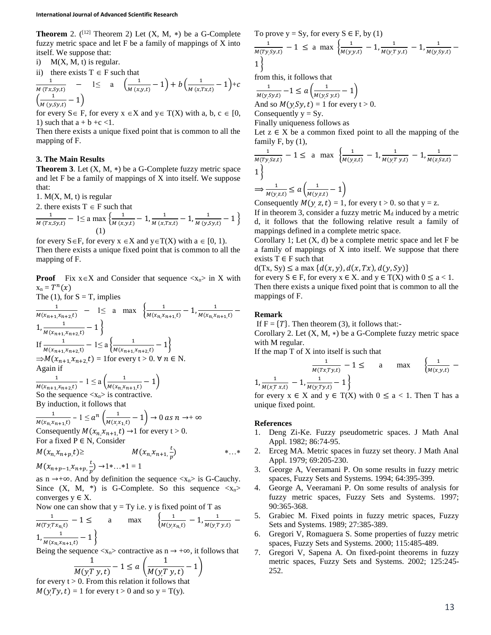**Theorem** 2.  $(12)$  Theorem 2) Let  $(X, M, *)$  be a G-Complete fuzzy metric space and let F be a family of mappings of X into itself. We suppose that:

i)  $M(X, M, t)$  is regular.

ii) there exists  $T \in F$  such that

$$
\frac{1}{M (Tx, Sy,t)} - 1 \leq a \left( \frac{1}{M (x,y,t)} - 1 \right) + b \left( \frac{1}{M (x,Tx,t)} - 1 \right) + c
$$
  

$$
\left( \frac{1}{M (y, Sy,t)} - 1 \right)
$$

for every  $S \in F$ , for every  $x \in X$  and  $y \in T(X)$  with a, b,  $c \in [0,$ 1) such that  $a + b + c < 1$ .

Then there exists a unique fixed point that is common to all the mapping of F.

## **3. The Main Results**

**Theorem 3.** Let  $(X, M, *)$  be a G-Complete fuzzy metric space and let F be a family of mappings of X into itself. We suppose that:

1.  $M(X, M, t)$  is regular

2. there exists  $T \in F$  such that

$$
\frac{1}{M(Tx, Sy,t)} - 1 \le a \max \left\{ \frac{1}{M(x,y,t)} - 1, \frac{1}{M(x,Tx,t)} - 1, \frac{1}{M(y, Sy,t)} - 1 \right\}
$$
\n(1)

for every  $S \in F$ , for every  $x \in X$  and  $y \in T(X)$  with  $a \in [0, 1)$ . Then there exists a unique fixed point that is common to all the mapping of F.

**Proof** Fix  $x \in X$  and Consider that sequence  $\langle x_n \rangle$  in X with  $x_n = T^n(x)$ 

The (1), for S = T, implies  
\n
$$
\frac{1}{M(x_{n+1, x_{n+2}, t)} - 1} \le a \max \left\{ \frac{1}{M(x_{n, x_{n+1}, t)} - 1}, \frac{1}{M(x_{n, x_{n+1}, t)} - 1} \right\}
$$
\nIf  $\frac{1}{M(x_{n+1, x_{n+2}, t)} - 1} \le a \left\{ \frac{1}{M(x_{n+1, x_{n+2}, t)} - 1} \right\}$   
\n $\Rightarrow M(x_{n+1, x_{n+2}, t}) = 1$  for every  $t > 0$ .  $\forall n \in N$ .  
\nAgain if  
\n
$$
\frac{1}{M(x_{n+1, x_{n+2}, t)} - 1} \le a \left( \frac{1}{M(x_{n, x_{n+1}, t)} - 1} \right)
$$
\nSo the sequence  $\langle x_n \rangle$  is contractive.  
\nBy induction, it follows that

$$
\frac{1}{M(x_n, x_{n+1}, t)} - 1 \le a^n \left( \frac{1}{M(x, x_{n}, t)} - 1 \right) \to 0 \text{ as } n \to +\infty
$$
  
Consequently  $M(x_n, x_{n+1}, t) \to 1$  for every  $t > 0$ .  
For a fixed P \in N, Consider

$$
M(x_n, x_{n+p}, t) \geq M(x_n, x_{n+1}, \frac{t}{p}) \qquad *...*
$$
  

$$
M(x_{n+1}, x_{n+2}, \frac{t}{p}) \to 1 \qquad *1 - 1
$$

 $M(x_{n+p-1}, x_{n+p}, \frac{c}{p}) \rightarrow 1 \cdot ... \cdot 1 = 1$ as n  $\rightarrow +\infty$ . And by definition the sequence  $\langle x_n \rangle$  is G-Cauchy. Since  $(X, M, *)$  is G-Complete. So this sequence  $\langle x_n \rangle$ 

converges  $y \in X$ . Now one can show that  $y = Ty$  i.e. y is fixed point of T as

$$
\frac{1}{M(Ty,Tx_{n,t})} - 1 \leq \text{ a max } \left\{ \frac{1}{M(y,x_{n,t})} - 1, \frac{1}{M(y,Ty,t)} - 1, \frac{1}{M(y,Ty,t)} - 1, \frac{1}{M(x_{n,t}x_{n+1,t})} - 1 \right\}
$$

Being the sequence  $\langle x_n \rangle$  contractive as  $n \to +\infty$ , it follows that

$$
\frac{1}{M(y, T, y, t)} - 1 \le a \left( \frac{1}{M(y, T, y, t)} - 1 \right)
$$
  
so. From this relation it follows that

for every  $t >$  $M(yTy, t) = 1$  for every  $t > 0$  and so  $y = T(y)$ .

To prove y = Sy, for every S \tF, by (1)  
\n
$$
\frac{1}{M(Ty, Sy,t)} - 1 \le a \max \left\{ \frac{1}{M(y,y,t)} - 1, \frac{1}{M(y,Ty,t)} - 1, \frac{1}{M(y, Sy,t)} - 1 \right\}
$$

from this, it follows that

1  $\frac{1}{M(y, Sy,t)} - 1 \le a \left( \frac{1}{M(y,s)} \right)$  $\frac{1}{M(y, S y, t)} - 1$ And so  $M(ySy, t) = 1$  for every  $t > 0$ . Consequently  $y = Sy$ .

Finally uniqueness follows as

Let  $z \in X$  be a common fixed point to all the mapping of the family F, by (1),

$$
\frac{1}{M(Ty,Sz,t)} - 1 \le a \max \left\{ \frac{1}{M(y,z,t)} - 1, \frac{1}{M(y,Ty,t)} - 1, \frac{1}{M(z,Sz,t)} - 1 \right\}
$$
  
\n
$$
\Rightarrow \frac{1}{M(y,z,t)} \le a \left( \frac{1}{M(y,z,t)} - 1 \right)
$$

Consequently  $M(y, z, t) = 1$ , for every  $t > 0$ . so that  $y = z$ .

If in theorem 3, consider a fuzzy metric  $M_d$  induced by a metric d, it follows that the following relative result a family of mappings defined in a complete metric space.

Corollary 1; Let  $(X, d)$  be a complete metric space and let F be a family of mappings of X into itself. We suppose that there exists  $T \in F$  such that

 $d(Tx, Sy) \le a \max \{d(x, y), d(x, Tx), d(y, Sy)\}\$ 

for every  $S \in F$ , for every  $x \in X$ . and  $y \in T(X)$  with  $0 \le a < 1$ . Then there exists a unique fixed point that is common to all the mappings of F.

#### **Remark**

If  $F = \{T\}$ . Then theorem (3), it follows that:-

Corollary 2. Let (X, M, ∗) be a G-Complete fuzzy metric space with M regular.

If the map T of X into itself is such that

$$
\frac{1}{M(Tx, Ty, t)} - 1 \le a \quad \max \quad \left\{ \frac{1}{M(x, y, t)} - 1, \frac{1}{M(x, Ty, t)} - 1 \right\}
$$

for every  $x \in X$  and  $y \in T(X)$  with  $0 \le a < 1$ . Then T has a unique fixed point.

#### **References**

- 1. Deng Zi-Ke. Fuzzy pseudometric spaces. J Math Anal Appl. 1982; 86:74-95.
- 2. Erceg MA. Metric spaces in fuzzy set theory. J Math Anal Appl. 1979; 69:205-230.
- 3. George A, Veeramani P. On some results in fuzzy metric spaces, Fuzzy Sets and Systems. 1994; 64:395-399.
- 4. George A, Veeramani P. On some results of analysis for fuzzy metric spaces, Fuzzy Sets and Systems. 1997; 90:365-368.
- 5. Grabiec M. Fixed points in fuzzy metric spaces, Fuzzy Sets and Systems. 1989; 27:385-389.
- 6. Gregori V, Romaguera S. Some properties of fuzzy metric spaces, Fuzzy Sets and Systems. 2000; 115:485-489.
- 7. Gregori V, Sapena A. On fixed-point theorems in fuzzy metric spaces, Fuzzy Sets and Systems. 2002; 125:245- 252.